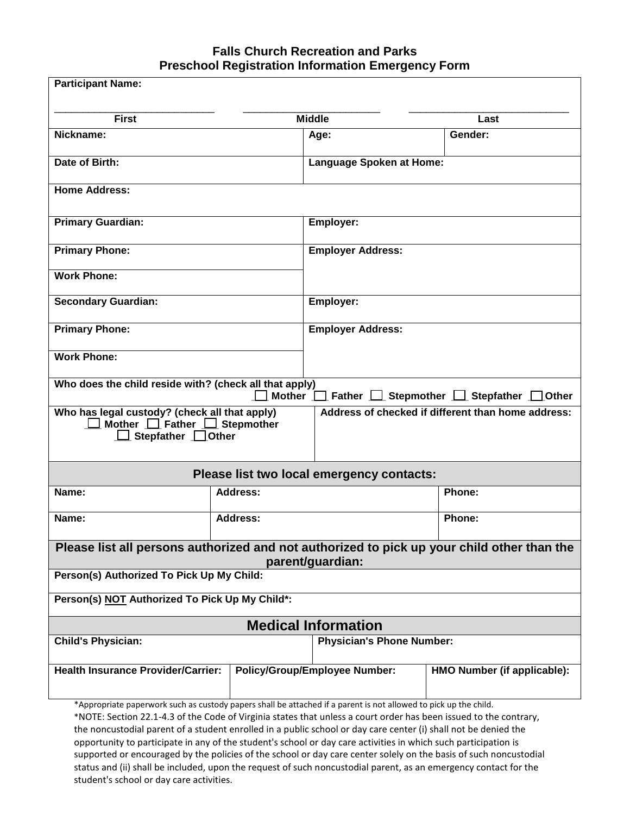## **Falls Church Recreation and Parks Preschool Registration Information Emergency Form**

| <b>Participant Name:</b>                                                                                                                                                                                                                                                                                                                                 |                 |                                                    |                                                                       |  |  |
|----------------------------------------------------------------------------------------------------------------------------------------------------------------------------------------------------------------------------------------------------------------------------------------------------------------------------------------------------------|-----------------|----------------------------------------------------|-----------------------------------------------------------------------|--|--|
| <b>First</b>                                                                                                                                                                                                                                                                                                                                             | <b>Middle</b>   |                                                    | Last                                                                  |  |  |
| Nickname:                                                                                                                                                                                                                                                                                                                                                |                 | Age:                                               | Gender:                                                               |  |  |
| Date of Birth:                                                                                                                                                                                                                                                                                                                                           |                 | <b>Language Spoken at Home:</b>                    |                                                                       |  |  |
| <b>Home Address:</b>                                                                                                                                                                                                                                                                                                                                     |                 |                                                    |                                                                       |  |  |
| <b>Primary Guardian:</b>                                                                                                                                                                                                                                                                                                                                 |                 | Employer:                                          |                                                                       |  |  |
| <b>Primary Phone:</b>                                                                                                                                                                                                                                                                                                                                    |                 | <b>Employer Address:</b>                           |                                                                       |  |  |
| <b>Work Phone:</b>                                                                                                                                                                                                                                                                                                                                       |                 |                                                    |                                                                       |  |  |
| <b>Secondary Guardian:</b>                                                                                                                                                                                                                                                                                                                               |                 | Employer:                                          |                                                                       |  |  |
| <b>Primary Phone:</b>                                                                                                                                                                                                                                                                                                                                    |                 | <b>Employer Address:</b>                           |                                                                       |  |  |
| <b>Work Phone:</b>                                                                                                                                                                                                                                                                                                                                       |                 |                                                    |                                                                       |  |  |
| Who does the child reside with? (check all that apply)                                                                                                                                                                                                                                                                                                   |                 |                                                    | Mother $\Box$ Father $\Box$ Stepmother $\Box$ Stepfather $\Box$ Other |  |  |
| Who has legal custody? (check all that apply)<br>Mother $\Box$ Father $\Box$ Stepmother<br>Stepfather <b>Q</b> Other                                                                                                                                                                                                                                     |                 | Address of checked if different than home address: |                                                                       |  |  |
| Please list two local emergency contacts:                                                                                                                                                                                                                                                                                                                |                 |                                                    |                                                                       |  |  |
| Name:                                                                                                                                                                                                                                                                                                                                                    | <b>Address:</b> |                                                    | Phone:                                                                |  |  |
| Name:                                                                                                                                                                                                                                                                                                                                                    | Address:        |                                                    | Phone:                                                                |  |  |
| Please list all persons authorized and not authorized to pick up your child other than the<br>parent/guardian:                                                                                                                                                                                                                                           |                 |                                                    |                                                                       |  |  |
| Person(s) Authorized To Pick Up My Child:                                                                                                                                                                                                                                                                                                                |                 |                                                    |                                                                       |  |  |
| Person(s) NOT Authorized To Pick Up My Child*:                                                                                                                                                                                                                                                                                                           |                 |                                                    |                                                                       |  |  |
| <b>Medical Information</b>                                                                                                                                                                                                                                                                                                                               |                 |                                                    |                                                                       |  |  |
| <b>Child's Physician:</b>                                                                                                                                                                                                                                                                                                                                |                 | <b>Physician's Phone Number:</b>                   |                                                                       |  |  |
| <b>Health Insurance Provider/Carrier:</b>                                                                                                                                                                                                                                                                                                                |                 | <b>Policy/Group/Employee Number:</b>               | HMO Number (if applicable):                                           |  |  |
| *Appropriate paperwork such as custody papers shall be attached if a parent is not allowed to pick up the child.<br>*NOTE: Section 22.1-4.3 of the Code of Virginia states that unless a court order has been issued to the contrary,<br>the noncustodial parent of a student enrolled in a public school or day care center (i) shall not be denied the |                 |                                                    |                                                                       |  |  |

the noncustodial parent of a student enrolled in a public school or day care center (i) shall not be denied the opportunity to participate in any of the student's school or day care activities in which such participation is supported or encouraged by the policies of the school or day care center solely on the basis of such noncustodial status and (ii) shall be included, upon the request of such noncustodial parent, as an emergency contact for the student's school or day care activities.